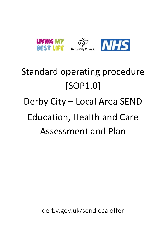

# Standard operating procedure [SOP1.0] Derby City – Local Area SEND Education, Health and Care Assessment and Plan

derby.gov.uk/sendlocaloffer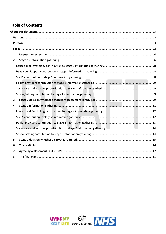## **Table of Contents**

| 1. |  |
|----|--|
| 2. |  |
|    |  |
|    |  |
|    |  |
|    |  |
|    |  |
|    |  |
| 3. |  |
| 4. |  |
|    |  |
|    |  |
|    |  |
|    |  |
|    |  |
| 5. |  |
| 6. |  |
| 7. |  |
| 8. |  |

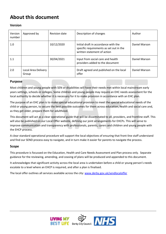# <span id="page-2-0"></span>**About this document**

#### <span id="page-2-1"></span>**Version**

| Version<br>number | Approved by                  | <b>Revision date</b> | Description of changes                                                                                         | Author        |
|-------------------|------------------------------|----------------------|----------------------------------------------------------------------------------------------------------------|---------------|
| 1.0               |                              | 10/12/2020           | Initial draft in accordance with the<br>specific requirements as set out in the<br>written statement of action | Daniel Marson |
| 1.1               |                              | 30/04/2021           | Input from social care and health<br>providers added to the document                                           | Daniel Marson |
| 2.0               | Local Area Delivery<br>Group |                      | Draft agreed and published on the local<br>offer                                                               | Daniel Marson |

#### <span id="page-2-2"></span>**Purpose**

Most children and young people with SEN or disabilities will have their needs met within local mainstream early years settings, schools or colleges. Some children and young people may require an EHC needs assessment for the local authority to decide whether it is necessary for it to make provision in accordance with an EHC plan.

The purpose of an EHC plan is to make special educational provision to meet the special educational needs of the child or young person, to secure the best possible outcomes for them across education, health and social care and, as they get older, prepare them for adulthood.

This document will act as a clear operational guide that will be disseminated to all, providers, and frontline staff. This will also be published on our Local Offer website, defining our joint arrangements for EHCPs. This will serve to improve communication and transparency with professionals, parents, carers and children and young people with the EHCP process.

A clear standard operational procedure will support the local objectives of ensuring that front-line staff understand and find our SEND process easy to navigate, and in turn make it easier for parents to navigate the process.

#### <span id="page-2-3"></span>**Scope**

This procedure is focussed on the Education, Health and Care Needs Assessment and Plan process only. Separate guidance for the reviewing, amending, and ceasing of plans will be produced and appended to this document.

It acknowledges that significant activity across the local area is undertaken before a child or young person's needs escalate to a level where an EHCP is required, and after a plan is finalised.

The local offer outlines all services available across the city: [www.derby.gov.uk/sendlocaloffer](http://www.derby.gov.uk/sendlocaloffer)

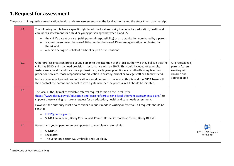## **1.Request for assessment**

The process of requesting an education, health and care assessment from the local authority and the steps taken upon receipt

<span id="page-3-0"></span>

| 1.1. | The following people have a specific right to ask the local authority to conduct an education, health and<br>care needs assessment for a child or young person aged between 0 and 25:<br>the child's parent or carer (with parental responsibility) or an organisation nominated by a parent<br>a young person over the age of 16 but under the age of 25 (or an organisation nominated by<br>them), and<br>a person acting on behalf of a school or post-16 institution <sup>1</sup>                                                                                                                                                                            |                                                                                      |                                |
|------|------------------------------------------------------------------------------------------------------------------------------------------------------------------------------------------------------------------------------------------------------------------------------------------------------------------------------------------------------------------------------------------------------------------------------------------------------------------------------------------------------------------------------------------------------------------------------------------------------------------------------------------------------------------|--------------------------------------------------------------------------------------|--------------------------------|
| 1.2. | Other professionals can bring a young person to the attention of the local authority if they believe that the<br>child has SEND and may need provision in accordance with an EHCP. This could include, for example,<br>foster carers, health and social care professionals, early years practitioners, youth offending teams or<br>probation services, those responsible for education in custody, school or college staff or a family friend.<br>In such cases email, or written notification should be sent to the local authority and the EHCP Team will<br>then contact the parent and school to investigate whether the process in 1.1 should be initiated. | All professionals,<br>parents/carers<br>working with<br>children and<br>young people |                                |
| 1.3. | The local authority makes available referral request forms on the Local Offer<br>(https://www.derby.gov.uk/education-and-learning/derbys-send-local-offer/ehc-assessments-plans/) to<br>support those wishing to make a request for an education, health and care needs assessment.<br>However, the authority must also consider a request made in writing or by email. All requests should be<br>sent to:<br>EHCP@derby.gov.uk<br>SEND Admin Team, Derby City Council, Council House, Corporation Street, Derby DE1 2FS                                                                                                                                         |                                                                                      |                                |
| 1.4. | Parents and young people can be supported to complete a referral via:<br>SENDIASS.<br>Local offer<br>The voluntary sector e.g. Umbrella and Fun-abil8y                                                                                                                                                                                                                                                                                                                                                                                                                                                                                                           |                                                                                      | CYP EHCNA Request<br>form.docx |

<sup>1</sup> SEND Code of Practice 2015 (9.8)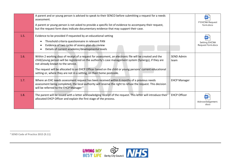|      | A parent and or young person is advised to speak to their SENCO before submitting a request for a needs<br>assessment.<br>A parent or young person is not asked to provide a specific list of evidence to accompany their request,<br>but the request form does indicate documentary evidence that may support their case.                                                                                                                   |                           | $W =$<br>P EHCNA Request<br>form.docx |
|------|----------------------------------------------------------------------------------------------------------------------------------------------------------------------------------------------------------------------------------------------------------------------------------------------------------------------------------------------------------------------------------------------------------------------------------------------|---------------------------|---------------------------------------|
| 1.5. | Evidence to be provided if requested by an educational setting<br>Threshold criteria questionnaire in relevant PAN<br>Evidence of two cycles of assess-plan-do-review<br>Details of current academic/developmental levels                                                                                                                                                                                                                    |                           | Setting EHCNA<br>Request form.docx    |
| 1.6. | Within 2 working days of receipt of a request for assessment, an electronic file will be created and the<br>child/young person will be registered on the authority's case management system (Synergy), if they are<br>not already known to the service.<br>The request will be allocated to an EHCP Officer based on the child or young persons' current educational<br>setting or, where they are not in a setting, on their home postcode. | <b>SEND Admin</b><br>team |                                       |
| 1.7. | Where an EHC needs assessment request has been received within 6 months of a previous needs<br>assessment being completed, the local authority will reserve the right to refuse the request. This decision<br>will be referred to the EHCP Manager <sup>2</sup>                                                                                                                                                                              | <b>EHCP Manager</b>       |                                       |
| 1.8. | The parent will be issued with a letter acknowledging receipt of the request. This letter will introduce their<br>allocated EHCP Officer and explain the first stage of the process.                                                                                                                                                                                                                                                         | <b>EHCP Officer</b>       | Acknowledgement.<br>docx              |

**<sup>2</sup> SEND Code of Practice 2015 (9.11)**

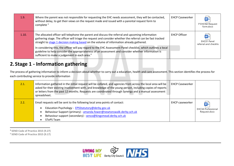| 1.9.  | Where the parent was not responsible for requesting the EHC needs assessment, they will be contacted,<br>without delay, to get their views on the request made and issued with a parental request form to<br>complete $3$                                                                                   | <b>EHCP Caseworker</b> | W<br>P EHCNA Request<br>form.docx                      |
|-------|-------------------------------------------------------------------------------------------------------------------------------------------------------------------------------------------------------------------------------------------------------------------------------------------------------------|------------------------|--------------------------------------------------------|
| 1.10. | The allocated officer will telephone the parent and discuss the referral and upcoming information<br>gathering stage. The officer will triage the request and consider whether the referral can be fast tracked<br>straight to stage 1 decision making based on the volume of information already gathered. | <b>EHCP Officer</b>    | W <sub>2</sub><br>EHC01 Panel<br>referral and checklis |
|       | In considering this, the officer will pay regard to the EHC Assessment Panel checklist, which outlines a local<br>guideline to help consider the appropriateness of an assessment and consider whether information is<br>sufficient to make a judgement in each area. <sup>4</sup>                          |                        |                                                        |

# **2. Stage 1 - Information gathering**

The process of gathering information to inform a decision about whether to carry out a education, health and care assessment. This section identifies the process for each contributing service to provide information

| 2.1. | Information gathered in the initial request will be collated, and agencies from across the local area will be<br>asked for their existing involvement with, and knowledge of the young person, including copies of reports<br>or letters from the past 12 months. Requests are coordinated through Synergy and a manual assessment<br>spreadsheet. | <b>EHCP Caseworker</b> |                                                                      |
|------|----------------------------------------------------------------------------------------------------------------------------------------------------------------------------------------------------------------------------------------------------------------------------------------------------------------------------------------------------|------------------------|----------------------------------------------------------------------|
| 2.2. | Email requests will be sent to the following local area points of contact:<br>Education Psychology - EPSStatutory@derby.gov.uk<br>Behaviour Support (primary) - amanda.fower@newtonswalk.derby.sch.uk<br>Behaviour support (secondary) - senco@kingsmead.derby.sch.uk<br>STePS Team                                                                | EHCP caseworker        | $\overline{\mathsf{w}}$<br><b>EHC3A Professional</b><br>Request.docx |

<span id="page-5-0"></span><sup>3</sup> **SEND Code of Practice 2015 (9.27)**

**<sup>4</sup> SEND Code of Practice 2015 (9.17)**

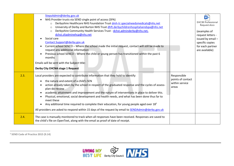|      | StepsAdmin@derby.gov.uk<br>NHS Provider trusts via SEND single point of access (SPA)<br>Derbyshire Healthcare NHS Foundation Trust dmh-tr.specialneedsmedicals@nhs.net<br>$\circ$<br>University of Derby and Burton NHS Trust dhft.derbychildrenhospitalsendspa@nhs.net<br>$\circ$<br>Derbyshire Community Health Services Trust - dchst.adminderby@nhs.net,<br>$\Omega$<br>dchst.sltadminehcp@nhs.net<br>Social care<br>Contact.Support@derby.gov.uk<br>Current school SENCO - Where the school made the initial request, contact will still be made to<br>request any additional information<br>Previous school SENCO - Where the child or young person has transitioned within the past 6<br>months<br>Emails will be sent with the Subject title:<br><b>Derby City EHCNA stage 1 Request</b> |                                                             | $\mathbf{w}$<br><b>EHC3B Professional</b><br>Request.docx<br>(examples of<br>request letters -<br>issued by email-<br>specific copies<br>for each partner<br>are available) |
|------|--------------------------------------------------------------------------------------------------------------------------------------------------------------------------------------------------------------------------------------------------------------------------------------------------------------------------------------------------------------------------------------------------------------------------------------------------------------------------------------------------------------------------------------------------------------------------------------------------------------------------------------------------------------------------------------------------------------------------------------------------------------------------------------------------|-------------------------------------------------------------|-----------------------------------------------------------------------------------------------------------------------------------------------------------------------------|
| 2.3. | Local providers are expected to contribute information that they hold to identify:<br>the nature and extent of a child's SEN<br>action already taken by the school in respect of the graduated response and the cycles of assess-<br>plan-do-review<br>academic attainment and improvement and the nature of interventions in place to deliver this.<br>Physical, emotional, social development and health needs, and what has been done thus far to<br>meet these<br>Any additional time required to complete their education, for young people aged over $185$<br>All providers are asked to respond within 15 days of the request by email to <b>SENDAdmin@derby.gov.uk</b>                                                                                                                   | Responsible<br>points of contact<br>within service<br>areas |                                                                                                                                                                             |
| 2.4. | The case is manually monitored to track when all responses have been received. Responses are saved to<br>the child's file on OpenText, along with the email as proof of date of receipt.                                                                                                                                                                                                                                                                                                                                                                                                                                                                                                                                                                                                         |                                                             |                                                                                                                                                                             |

**<sup>5</sup> SEND Code of Practice 2015 (9.14)**

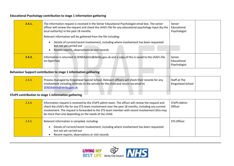#### **Educational Psychology contribution to stage 1 information gathering**

| 2.4.1. | The information request is received in the Senior Educational Psychologist email box. The senior<br>officer will review the request and check the child's file for any educational psychology input (by the<br>local authority) in the past 18 months. | Senior<br>Educational<br>Psychologist |
|--------|--------------------------------------------------------------------------------------------------------------------------------------------------------------------------------------------------------------------------------------------------------|---------------------------------------|
|        | Relevant information will be gathered from the file including:                                                                                                                                                                                         |                                       |
|        | Details of current/recent involvement, including where involvement has been requested<br>but not yet carried out<br>Recent reports, observations or visit records                                                                                      |                                       |
| 2.4.2. | Information is returned to SENDAdmin@derby.gov.uk and a copy of this is saved to the child's file<br>on OpenText                                                                                                                                       | Senior<br>Educational<br>Psychologist |

#### **Behaviour Support contribution to stage 1 information gathering**

<span id="page-7-0"></span>

| 2.4.3. | Process managed by Kingsmead Special School. Relevant officers will check their records for any<br>I involvement including referrals to the service for the child and return via email to<br>SENDAdmin@derby.gov.uk | Staff at The<br>Kingsmead School |  |
|--------|---------------------------------------------------------------------------------------------------------------------------------------------------------------------------------------------------------------------|----------------------------------|--|
|--------|---------------------------------------------------------------------------------------------------------------------------------------------------------------------------------------------------------------------|----------------------------------|--|

## **STePS contribution to stage 1 information gathering**

<span id="page-7-2"></span><span id="page-7-1"></span>

| 2.4.4. | Information request is received by the STePS admin team. The officer will review the request and<br>check the child's file for any STS team involvement over the past 18 months, including any current<br>involvement. The request is forwarded to the STS team member with recent involvement (this may<br>be more than one depending on the needs of the child) | STePS Admin<br>Officer |  |
|--------|-------------------------------------------------------------------------------------------------------------------------------------------------------------------------------------------------------------------------------------------------------------------------------------------------------------------------------------------------------------------|------------------------|--|
| 2.4.5. | Relevant information is compiled, including:<br>Details of current/recent involvement, including where involvement has been requested<br>but not yet carried out<br>Recent reports, observations or visit records                                                                                                                                                 | STS Officer            |  |

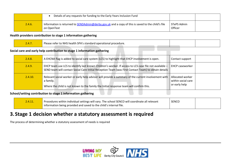|        | Details of any requests for funding to the Early Years Inclusion Fund                                              |                        |  |
|--------|--------------------------------------------------------------------------------------------------------------------|------------------------|--|
| 2.4.6. | Information is returned to SENDAdmin@derby.gov.uk and a copy of this is saved to the child's file I<br>on OpenText | STePS Admin<br>Officer |  |

#### **Health providers contribution to stage 1 information gathering**

| 2.4.7 | Please refer to NHS health SPA's standard operational procedure. |  |
|-------|------------------------------------------------------------------|--|
|       |                                                                  |  |

#### **Social care and early help contribution to stage 1 information gathering**

| 2.4.8.  | A EHCNA flag is added to social care system (LCS) to highlight that EHCP involvement is open.                                                                                                                  | Contact support                                         |
|---------|----------------------------------------------------------------------------------------------------------------------------------------------------------------------------------------------------------------|---------------------------------------------------------|
| 2.4.9.  | EHCP team use LCS to identify last known Children's worker. If access to LCS case file not available -<br>SEND team will contact Social Care Initial Reception Team (was First Contact Team) to obtain details | <b>EHCP caseworker</b>                                  |
| 2.4.10. | Relevant social worker or early help advisor will provide a summary of the current involvement with<br>a family.<br>Where the child is not known to the family the Initial response team will confirm this.    | Allocated worker<br>within social care<br>or early help |

#### **School/setting contribution to stage 1 information gathering**

<span id="page-8-0"></span>

| 2.4.11 | Procedures within individual settings will vary. The school SENCO will coordinate all relevant | <b>SENCO</b> |  |
|--------|------------------------------------------------------------------------------------------------|--------------|--|
|        | $\parallel$ information being provided and saved to the child's internal file.                 |              |  |

## <span id="page-8-4"></span><span id="page-8-1"></span>**3. Stage 1 decision whether a statutory assessment is required**

<span id="page-8-3"></span><span id="page-8-2"></span>The process of determining whether a statutory assessment of needs is required

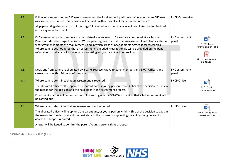| 3.1. | Following a request for an EHC needs assessment the local authority will determine whether an EHC needs<br>assessment is required. This decision will be made within 6 weeks of receipt of the request. <sup>6</sup><br>All paperwork gathered as part of the stage 1 information gathering stage will be collated and embedded<br>into an agenda document.                                                                                                                                                               | <b>EHCP Caseworker</b>         |                                                                               |
|------|---------------------------------------------------------------------------------------------------------------------------------------------------------------------------------------------------------------------------------------------------------------------------------------------------------------------------------------------------------------------------------------------------------------------------------------------------------------------------------------------------------------------------|--------------------------------|-------------------------------------------------------------------------------|
| 3.2. | EHC Assessment panel meetings are held virtually every week. 15 cases are considered at each panel.<br>Panel considers the stage 1 decision. Where panel agrees to a statutory assessment it will clearly state on<br>what grounds it meets the requirements, and in which areas of need it meets agreed local thresholds.<br>Where panel does not agree that an assessment is needed, clear rationale will be provided on the panel<br>referral form and advice for the education setting and/or parent will be provided | <b>EHC</b> assessment<br>panel | EHC01 Panel<br>referral and checklis<br>؞<br>ehc-assessment-pa<br>nel-tor.pdf |
| 3.3. | Decisions from panel are circulated by a panel representative to panel members and EHCP Officers and<br>caseworkers, within 24 hours of the panel                                                                                                                                                                                                                                                                                                                                                                         | <b>EHC</b> assessment<br>panel |                                                                               |
| 3.4. | Where panel determines that an assessment is required:<br>The allocated officer will telephone the parent and/or young person within 48hrs of the decision to explain<br>the reason for the decision and the next steps in the assessment process.<br>Email confirmation will be sent to the child's setting (via the SENCO) to confirm that a full assessment will<br>be carried out                                                                                                                                     | <b>EHCP Officer</b>            | w<br>FHC1 Yes to<br>assessment.docx                                           |
| 3.5. | Where panel determines that an assessment is not required:<br>The allocated officer will telephone the parent and/or young person within 48hrs of the decision to explain<br>the reason for the decision and the next steps in the process of supporting the child/young person to<br>access the support required.<br>A letter will be issued to confirm the parent/young person's right of appeal                                                                                                                        | <b>EHCP Officer</b>            | EHC2 Turn down to<br>assessment.docx                                          |

<sup>6</sup> **SEND Code of Practice 2015 (9.41)**

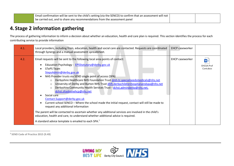| Email confirmation will be sent to the child's setting (via the SENCO) to confirm that an assessment will not $\vert$ |  |
|-----------------------------------------------------------------------------------------------------------------------|--|
| be carried out, and to share any recommendations from the assessment panel                                            |  |

## **4. Stage 2 information gathering**

The process of gathering information to inform a decision about whether an education, health and care plan is required. This section identifies the process for each contributing service to provide information

| 4.1. | Local providers, including from, education, health and social care are contacted. Requests are coordinated<br>through Synergy and a manual assessment spreadsheet.                                                                                                                                                                                                                                                                                                                                                                                                                                                                                                                                                                                                                                                                                                                                                                                                                                       | <b>EHCP caseworker</b> |                                              |
|------|----------------------------------------------------------------------------------------------------------------------------------------------------------------------------------------------------------------------------------------------------------------------------------------------------------------------------------------------------------------------------------------------------------------------------------------------------------------------------------------------------------------------------------------------------------------------------------------------------------------------------------------------------------------------------------------------------------------------------------------------------------------------------------------------------------------------------------------------------------------------------------------------------------------------------------------------------------------------------------------------------------|------------------------|----------------------------------------------|
| 4.2. | Email requests will be sent to the following local area points of contact:<br>Education Psychology - EPSStatutory@derby.gov.uk<br><b>STePS Team</b><br>StepsAdmin@derby.gov.uk<br>NHS Provider trusts via SEND single point of access (SPA)<br>Derbyshire Healthcare NHS Foundation Trust dmh-tr.specialneedsmedicals@nhs.net<br>$\circ$<br>University of Derby and Burton NHS Trust dhft.derbychildrenhospitalsendspa@nhs.net<br>$\circ$<br>Derbyshire Community Health Services Trust - dchst.adminderby@nhs.net,<br>$\circ$<br>dchst.sltadminehcp@nhs.net<br>Social care<br>Contact.Support@derby.gov.uk<br>Current school SENCO - Where the school made the initial request, contact will still be made to<br>request any additional information<br>The parent will be contacted to ascertain whether any additional services are involved in the child's<br>education, health and care, to understand whether additional advice is required.<br>A standard advice template is emailed to each SPA.7 | <b>EHCP caseworker</b> | $W \equiv$<br><b>EHC6A Prof</b><br>Cont.docx |

<span id="page-10-0"></span><sup>7</sup> **SEND Code of Practice 2015 (9.49)**

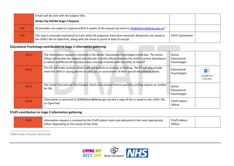|      | Emails will be sent with the Subject title:                                                                                                                                              |                        |  |
|------|------------------------------------------------------------------------------------------------------------------------------------------------------------------------------------------|------------------------|--|
|      | <b>Derby City EHCNA Stage 2 Request</b>                                                                                                                                                  |                        |  |
| 4.3. | All providers are asked to respond within 6 weeks of the request by email to SENDAdmin@derby.gov.uk <sup>8</sup>                                                                         |                        |  |
| 4.4. | The case is manually monitored to track when all responses have been received. Responses are saved to<br>the child's file on OpenText, along with the email as proof of date of receipt. | <b>EHCP Caseworker</b> |  |

#### **Educational Psychology contribution to stage 2 information gathering**

| 4.4.1. | The information request is received in the Senior Educational Psychologist email box. The senior<br>officer will review the request and allocate it to the officer linked to the child's current attendance<br>or where a different EP has been more recently involved with the child, to that EP. | Senior<br>Educational<br>Psychologist |                               |
|--------|----------------------------------------------------------------------------------------------------------------------------------------------------------------------------------------------------------------------------------------------------------------------------------------------------|---------------------------------------|-------------------------------|
| 4.4.2. | This EP will make contact school staff and parents to arrange a meeting. The EP will also usually<br>meet the child or young person to carry out an assessment of their special educational needs.                                                                                                 | Educational<br>Psychologist           | WE<br>EHC6B Prof<br>Cont.docx |
| 4.4.3. | The Senior Educational Psychologist checks Educational Advice quarterly picking reports at random<br>for QA.                                                                                                                                                                                       | Senior<br>Educational<br>Psychologist |                               |
| 4.4.4. | Information is returned to SENDAdmin@derby.gov.uk and a copy of this is saved to the child's file<br>on OpenText                                                                                                                                                                                   | <b>STePS Admin</b><br>Officer         |                               |

#### <span id="page-11-0"></span>**STePS contribution to stage 2 information gathering**

| 4.4.5. | I Information request is received by the STePS admin team and allocated to the most appropriate | STePS Admin |  |
|--------|-------------------------------------------------------------------------------------------------|-------------|--|
|        | officer depending on the needs of the child.                                                    | Officer     |  |

<span id="page-11-1"></span><sup>8</sup> **SEND Code of Practice 2015 (9.52)**

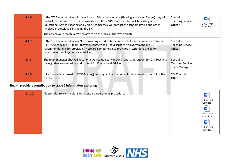| 4.4.6. | If the STS Team member will be writing an Educational Advice (Hearing and Vision Teams) they will<br>contact the parent to discuss the assessment. If the STS Team member will be writing an<br>Educational Advice (Hearing and Vision Teams) they will contact the school/ setting and other<br>involved professionals including the EP.<br>The officer will prepare a written advice on the local authority template | Specialist<br><b>Teaching Service</b><br>Officer             | $W \equiv$<br><b>EHC6F Prof</b><br>Cont.docx |
|--------|------------------------------------------------------------------------------------------------------------------------------------------------------------------------------------------------------------------------------------------------------------------------------------------------------------------------------------------------------------------------------------------------------------------------|--------------------------------------------------------------|----------------------------------------------|
| 4.4.7. | If the STS Team member won't be providing an Educational Advice but has had recent involvement<br>(EIT, SCA team and PD team) they will contact the EP to discuss their involvement and<br>recommendations for provision. These are sometimes also provided in writing to the EP for<br>inclusion in their Psychological Advice.                                                                                       | Specialist<br><b>Teaching Service</b><br>Officer             |                                              |
| 4.4.8. | The team manager checks Educational Advice quarterly picking reports at random for QA. Teachers<br>have guidance on wording and content for Educational Advice.                                                                                                                                                                                                                                                        | Specialist<br><b>Teaching Service</b><br><b>Team Manager</b> |                                              |
| 4.4.9. | Information is returned to SENDAdmin@derby.gov.uk and a copy of this is saved to the child's file<br>on OpenText                                                                                                                                                                                                                                                                                                       | <b>STePS Admin</b><br>Officer                                |                                              |

### **Health providers contribution to stage 2 information gathering**

<span id="page-12-0"></span>

| 4.4.10. | Please refer to NHS health SPA's standard operational procedure. | W                       |
|---------|------------------------------------------------------------------|-------------------------|
|         |                                                                  | EHC6G Prof<br>Cont.docx |
|         |                                                                  | $w \equiv$              |
|         |                                                                  | EHC6C Prof<br>Cont.docx |
|         |                                                                  | w∎                      |
|         |                                                                  | EHC6D Prof<br>Cont.docx |
|         |                                                                  |                         |

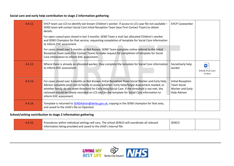#### **Social care and early help contribution to stage 2 information gathering**

| 4.4.11. | EHCP team use LCS to identify last known Children's worker. If access to LCS case file not available -<br>SEND team will contact Social Care Initial Reception Team (was First Contact Team) to obtain<br>details.<br>For open cases/cases closed in last 3 months: SEND Team e mail last allocated Children's worker<br>and SEND Champion for that service, requesting completion of template for Social Care information<br>to inform EHC assessment.<br>For cases closed over 3 months or Not Known: SEND Team complete online referral to the Initial<br>Reception Team (was First Contact Team) to make request for completion of template for Social<br>Care information to inform EHC assessment. | <b>EHCP Caseworker</b>                                                      |                                                 |
|---------|----------------------------------------------------------------------------------------------------------------------------------------------------------------------------------------------------------------------------------------------------------------------------------------------------------------------------------------------------------------------------------------------------------------------------------------------------------------------------------------------------------------------------------------------------------------------------------------------------------------------------------------------------------------------------------------------------------|-----------------------------------------------------------------------------|-------------------------------------------------|
| 4.4.12. | Where there is already an allocated worker, they complete the template for Social Care information<br>to inform EHC assessment.                                                                                                                                                                                                                                                                                                                                                                                                                                                                                                                                                                          | Social/early help<br>worker                                                 | $W \equiv$<br><b>EHC6E Prof Cont</b><br>v2.docx |
| 4.4.13. | For cases closed over 3 months or Not Known: Initial Reception Team Social Worker and Early Help<br>Advisor complete joint visit to family to assess whether: Early Help/Single Assessment needed, or<br>whether family do not meet threshold for Early Help/Social Care. If the threshold is not met, the<br>rationale should be clearly recorded on LCS and on the template for Social Care information to<br>inform EHC assessment.                                                                                                                                                                                                                                                                   | Initial Reception<br><b>Team Social</b><br>Worker and Early<br>Help Advisor |                                                 |
| 4.4.14. | Template is returned to <b>SENDAdmin@derby.gov.uk</b> , copying in the SEND champion for that area,<br>and saved to the child's file on Opentext                                                                                                                                                                                                                                                                                                                                                                                                                                                                                                                                                         |                                                                             |                                                 |

#### <span id="page-13-0"></span>**School/setting contribution to stage 2 information gathering**

<span id="page-13-1"></span>

| 4.4.15 | Procedures within individual settings will vary. The school SENCO will coordinate all relevant | <b>SENCO</b> |  |
|--------|------------------------------------------------------------------------------------------------|--------------|--|
|        | information being provided and saved to the child's internal file                              |              |  |

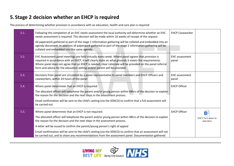## **5. Stage 2 decision whether an EHCP is required**

The process of determining whether provision in accordance with an education, health and care plan is required

<span id="page-14-0"></span>

| 5.1. | Following the completion of an EHC needs assessment the local authority will determine whether an EHC<br>needs assessment is required. This decision will be made within 16 weeks of receipt of the request.<br>All paperwork gathered as part of the stage 1 information gathering will be collated and embedded into an<br>agenda document. In addition all paperwork gathered as part of the stage 2 information gathering will be<br>collated and embedded into the same agenda.                                                                    | <b>EHCP Caseworker</b>         |                                              |
|------|---------------------------------------------------------------------------------------------------------------------------------------------------------------------------------------------------------------------------------------------------------------------------------------------------------------------------------------------------------------------------------------------------------------------------------------------------------------------------------------------------------------------------------------------------------|--------------------------------|----------------------------------------------|
| 5.2. | EHC Assessment panel meetings are held virtually every week. Where panel agrees that provision is<br>required in accordance with an EHCP, it will clearly state on what grounds it meets the requirements.<br>Where panel does not agree that an EHCP is needed, clear rationale will be provided on the panel referral<br>form and advice for the education setting and/or parent will be provided.                                                                                                                                                    | <b>EHC</b> assessment<br>panel |                                              |
| 5.3. | Decisions from panel are circulated by a panel representative to panel members and EHCP Officers and<br>caseworkers, within 24 hours of the panel                                                                                                                                                                                                                                                                                                                                                                                                       | <b>EHC</b> assessment<br>panel |                                              |
| 5.4. | Where panel determines that an EHCP is required:<br>The allocated officer will telephone the parent and/or young person within 48hrs of the decision to explain<br>the reason for the decision and the next steps in the assessment process.<br>Email confirmation will be sent to the child's setting (via the SENCO) to confirm that a full assessment will<br>be carried out                                                                                                                                                                         | <b>EHCP Officer</b>            |                                              |
| 5.5. | Where panel determines that an EHCP is not required:<br>The allocated officer will telephone the parent and/or young person within 48hrs of the decision to explain<br>the reason for the decision and the next steps in the assessment process.<br>A letter will be issued to confirm the parent/young person's right of appeal<br>Email confirmation will be sent to the child's setting (via the SENCO) to confirm that an assessment will not<br>be carried out, and to share any recommendations from the assessment panel. Documentation gathered | <b>EHCP Officer</b>            | $w \equiv$<br>EHC5 Turn down to<br>plan.docx |

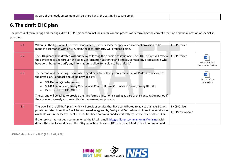| as part of the needs assessment will be shared with the setting by secure email. |  |
|----------------------------------------------------------------------------------|--|
|                                                                                  |  |

## **6.The draft EHC plan**

The process of formulating and sharing a draft EHCP. This section includes details on the process of determining the correct provision and the allocation of specialist provision.

| 6.1. | Where, in the light of an EHC needs assessment, it is necessary for special educational provision to be<br>made in accordance with an EHC plan, the local authority will prepare a plan.                                                                                                                                                                                                                                                                                                                                                                 | <b>EHCP Officer</b>                           |                                             |
|------|----------------------------------------------------------------------------------------------------------------------------------------------------------------------------------------------------------------------------------------------------------------------------------------------------------------------------------------------------------------------------------------------------------------------------------------------------------------------------------------------------------------------------------------------------------|-----------------------------------------------|---------------------------------------------|
| 6.2. | The EHC plan will be drafted without delay following the decision to issue one. The EHCP officer will review<br>the advices received through the stage 2 information gathering and directly contact any professionals who<br>have contributed to clarify any information to allow for a plan to be drafted. <sup>9</sup>                                                                                                                                                                                                                                 | <b>EHCP Officer</b>                           | <b>EHC Plan Blank</b><br>Template 2020.docx |
| 6.3. | The parent, and the young person when aged over 16, will be given a minimum of 15 days to respond to<br>the draft plan. Feedback should be provided by:<br>SENDAdmin@derby.gov.uk<br>SEND Admin Team, Derby City Council, Council House, Corporation Street, Derby DE1 2FS<br>Directly to the EHCP Officer<br>The parent will be asked to provide their preferred educational setting as part of this consultation period if<br>they have not already expressed this in the assessment process.                                                          |                                               | EHC7 Draft to<br>parent.docx                |
| 6.4. | The LA will share all draft plans with NHS provider service that have contributed to advice at stage 1-2. All<br>provision stated in section G will be confirmed as agreed by Derby and Derbyshire NHS provider services as<br>available within the Derby Local Offer or has been commissioned specifically by Derby & Derbyshire CCG.<br>If the service has not been commissioned the LA will email ddccg.childrenscommissioning@nhs.net with<br>details the email should be entitled "Urgent action please - EHCP need identified without commissioned | <b>EHCP Officer</b><br><b>EHCP caseworker</b> |                                             |

<span id="page-15-0"></span><sup>9</sup> **SEND Code of Practice 2015 (9.61, 9.62, 9.69)**

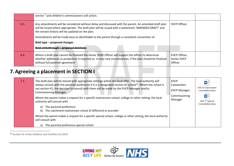|      | service " and children's commissioners will action.                                                                                                                                                                                                              |                                         |  |
|------|------------------------------------------------------------------------------------------------------------------------------------------------------------------------------------------------------------------------------------------------------------------|-----------------------------------------|--|
| 6.5. | Any amendments will be considered without delay and discussed with the parent. An amended draft plan<br>will be issued where appropriate. The draft plan will be issued with a watermark 'AMENDED DRAFT' and<br>the version history will be updated on the plan. | <b>EHCP Officer</b>                     |  |
|      | Amendments will be made easy to identifiable to the parent through a consistent convention of:                                                                                                                                                                   |                                         |  |
|      | Bold type - proposed changes                                                                                                                                                                                                                                     |                                         |  |
|      | <b>Bold strikethrough - proposed deletions</b>                                                                                                                                                                                                                   |                                         |  |
| 6.6. | Where a draft plan cannot be finalised the Senior SEND Officer will support the officer to determine<br>whether additional co-production is required or, in very rare circumstances, if the plan should be finalised<br>without full parental agreement          | EHCP Officer,<br>Senior EHCP<br>Officer |  |

# **7.Agreeing a placement in SECTION I**

| 7.1. | The draft plan will be shared with appropriate settings within the local offer. The local authority will<br>always consult with the parental preference if it is a designated section 41 school <sup>10</sup> . Where the school is<br>not section 41, the decision to consult with them will be made by the EHCP Manager and/or<br><b>Commissioning Manager.</b><br>Where the parent makes a request for a specific mainstream school, college or other setting, the local<br>authority will consult with: | <b>EHCP</b><br>Caseworker,<br><b>EHCP Manager,</b><br>Commissioning<br>Manager | $w \equiv$<br>EHC16 mainstream<br>consultation.docx<br>$W \equiv$<br><b>EHC17 Special</b> |
|------|-------------------------------------------------------------------------------------------------------------------------------------------------------------------------------------------------------------------------------------------------------------------------------------------------------------------------------------------------------------------------------------------------------------------------------------------------------------------------------------------------------------|--------------------------------------------------------------------------------|-------------------------------------------------------------------------------------------|
|      | The parental preference<br>a)<br>The catchment mainstream school (if different) or provider<br>b)                                                                                                                                                                                                                                                                                                                                                                                                           |                                                                                | Consultation.docx                                                                         |
|      | Where the parent makes a request for a specific special school, college or other setting, the local authority<br>will consult with:                                                                                                                                                                                                                                                                                                                                                                         |                                                                                |                                                                                           |
|      | The parental preference special school<br>a)                                                                                                                                                                                                                                                                                                                                                                                                                                                                |                                                                                |                                                                                           |

<span id="page-16-0"></span><sup>10</sup> **Section 41 of the Children and Families Act 2014**

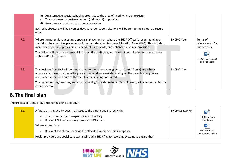|      | An alternative special school appropriate to the area of need (where one exists)<br>b)<br>The catchment mainstream school (if different) or provider<br>C)<br>An appropriate enhanced resource provision<br>d)<br>Each school/setting will be given 15 days to respond. Consultations will be sent to the school via secure<br>email                                                                                                               |                     |                                                                                       |
|------|----------------------------------------------------------------------------------------------------------------------------------------------------------------------------------------------------------------------------------------------------------------------------------------------------------------------------------------------------------------------------------------------------------------------------------------------------|---------------------|---------------------------------------------------------------------------------------|
| 7.2. | Where the parent is requesting a specialist placement or, where the EHCP Officer is recommending a<br>specialist placement the placement will be considered at Resource Allocation Panel (RAP). This includes,<br>maintained specialist provision, independent placements, and enhanced resource provision.<br>The officer will prepare paperwork including the draft plan, and relevant consultation responses along<br>with a RAP referral form. | <b>EHCP Officer</b> | Terms of<br>reference for Rap<br>under review<br>RAR01 RAP referral<br>and audit.docx |
| 7.3. | The decision from RAP will communicated to the parent, young person (post 16 only) and where<br>appropriate, the education setting, via a phone call or email depending on the parent/young person<br>preference within 48 hours of the panel decision being confirmed.<br>The named setting/provider, and existing setting/provider (where this is different) will also be notified by<br>phone or email.                                         | <b>EHCP Officer</b> |                                                                                       |

# **8.The final plan**

The process of formulating and sharing a finalised EHCP

<span id="page-17-0"></span>

| 8.1. | A final plan is issued by post in all cases to the parent and shared with:                                   | EHCP caseworker | $W =$                                       |
|------|--------------------------------------------------------------------------------------------------------------|-----------------|---------------------------------------------|
|      | The current and/or prospective school setting<br>$\bullet$<br>Relevant NHS service via appropriate SPA email |                 | EHC8 Final plan<br>issued.docx              |
|      | Where appropriate:                                                                                           |                 | WE                                          |
|      | Relevant social care team via the allocated worker or initial response                                       |                 | <b>EHC Plan Blank</b><br>Template 2020.docx |
|      | Health providers and social care teams will add a EHCP flag to recording systems to ensure that              |                 |                                             |